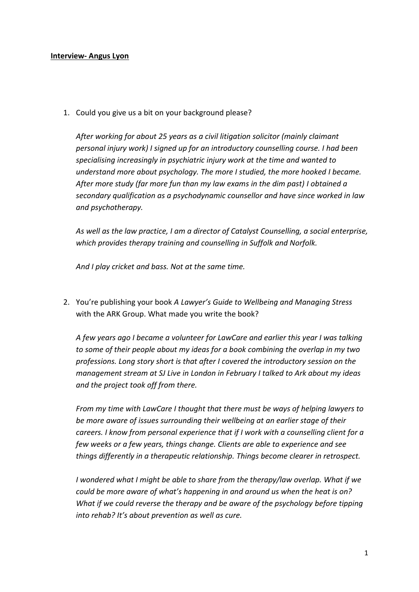## **Interview- Angus Lyon**

1. Could you give us a bit on your background please?

*After working for about 25 years as a civil litigation solicitor (mainly claimant personal injury work) I signed up for an introductory counselling course. I had been specialising increasingly in psychiatric injury work at the time and wanted to understand more about psychology. The more I studied, the more hooked I became. After more study (far more fun than my law exams in the dim past) I obtained a secondary qualification as a psychodynamic counsellor and have since worked in law and psychotherapy.* 

*As well as the law practice, I am a director of Catalyst Counselling, a social enterprise, which provides therapy training and counselling in Suffolk and Norfolk.*

*And I play cricket and bass. Not at the same time.*

2. You're publishing your book *A Lawyer's Guide to Wellbeing and Managing Stress* with the ARK Group. What made you write the book?

*A few years ago I became a volunteer for LawCare and earlier this year I was talking to some of their people about my ideas for a book combining the overlap in my two professions. Long story short is that after I covered the introductory session on the management stream at SJ Live in London in February I talked to Ark about my ideas and the project took off from there.* 

*From my time with LawCare I thought that there must be ways of helping lawyers to be more aware of issues surrounding their wellbeing at an earlier stage of their careers. I know from personal experience that if I work with a counselling client for a few weeks or a few years, things change. Clients are able to experience and see things differently in a therapeutic relationship. Things become clearer in retrospect.* 

*I wondered what I might be able to share from the therapy/law overlap. What if we could be more aware of what's happening in and around us when the heat is on? What if we could reverse the therapy and be aware of the psychology before tipping into rehab? It's about prevention as well as cure.*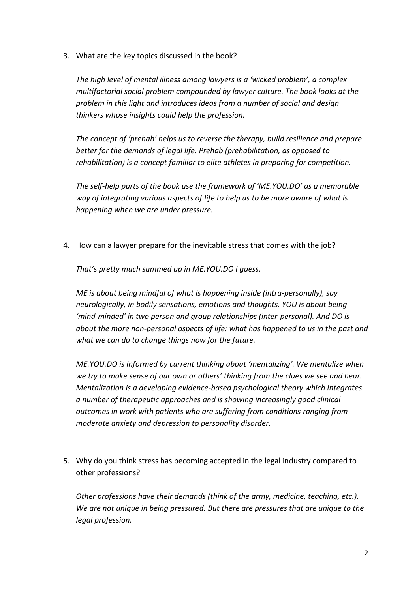3. What are the key topics discussed in the book?

*The high level of mental illness among lawyers is a 'wicked problem', a complex multifactorial social problem compounded by lawyer culture. The book looks at the problem in this light and introduces ideas from a number of social and design thinkers whose insights could help the profession.* 

*The concept of 'prehab' helps us to reverse the therapy, build resilience and prepare better for the demands of legal life. Prehab (prehabilitation, as opposed to rehabilitation) is a concept familiar to elite athletes in preparing for competition.* 

*The self-help parts of the book use the framework of 'ME.YOU.DO' as a memorable way of integrating various aspects of life to help us to be more aware of what is happening when we are under pressure.* 

4. How can a lawyer prepare for the inevitable stress that comes with the job?

*That's pretty much summed up in ME.YOU.DO I guess.* 

*ME is about being mindful of what is happening inside (intra-personally), say neurologically, in bodily sensations, emotions and thoughts. YOU is about being 'mind-minded' in two person and group relationships (inter-personal). And DO is about the more non-personal aspects of life: what has happened to us in the past and what we can do to change things now for the future.* 

*ME.YOU.DO is informed by current thinking about 'mentalizing'. We mentalize when we try to make sense of our own or others' thinking from the clues we see and hear. Mentalization is a developing evidence-based psychological theory which integrates a number of therapeutic approaches and is showing increasingly good clinical outcomes in work with patients who are suffering from conditions ranging from moderate anxiety and depression to personality disorder.*

5. Why do you think stress has becoming accepted in the legal industry compared to other professions?

*Other professions have their demands (think of the army, medicine, teaching, etc.). We are not unique in being pressured. But there are pressures that are unique to the legal profession.*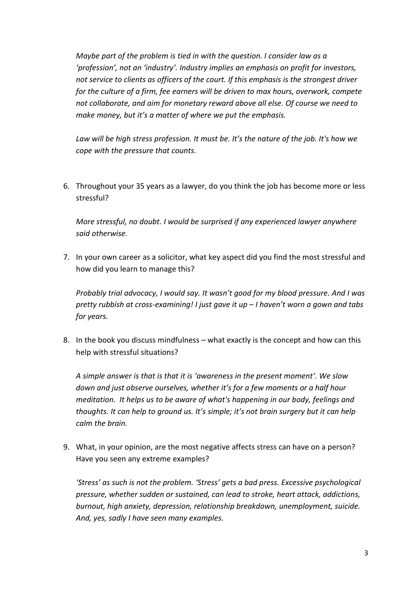*Maybe part of the problem is tied in with the question. I consider law as a 'profession', not an 'industry'. Industry implies an emphasis on profit for investors, not service to clients as officers of the court. If this emphasis is the strongest driver for the culture of a firm, fee earners will be driven to max hours, overwork, compete not collaborate, and aim for monetary reward above all else. Of course we need to make money, but it's a matter of where we put the emphasis.*

*Law will be high stress profession. It must be. It's the nature of the job. It's how we cope with the pressure that counts.* 

6. Throughout your 35 years as a lawyer, do you think the job has become more or less stressful?

*More stressful, no doubt. I would be surprised if any experienced lawyer anywhere said otherwise.*

7. In your own career as a solicitor, what key aspect did you find the most stressful and how did you learn to manage this?

*Probably trial advocacy, I would say. It wasn't good for my blood pressure. And I was pretty rubbish at cross-examining! I just gave it up – I haven't worn a gown and tabs for years.*

8. In the book you discuss mindfulness – what exactly is the concept and how can this help with stressful situations?

*A simple answer is that is that it is 'awareness in the present moment'. We slow down and just observe ourselves, whether it's for a few moments or a half hour meditation. It helps us to be aware of what's happening in our body, feelings and thoughts. It can help to ground us. It's simple; it's not brain surgery but it can help calm the brain.*

9. What, in your opinion, are the most negative affects stress can have on a person? Have you seen any extreme examples?

*'Stress' as such is not the problem. 'Stress' gets a bad press. Excessive psychological pressure, whether sudden or sustained, can lead to stroke, heart attack, addictions, burnout, high anxiety, depression, relationship breakdown, unemployment, suicide. And, yes, sadly I have seen many examples.*